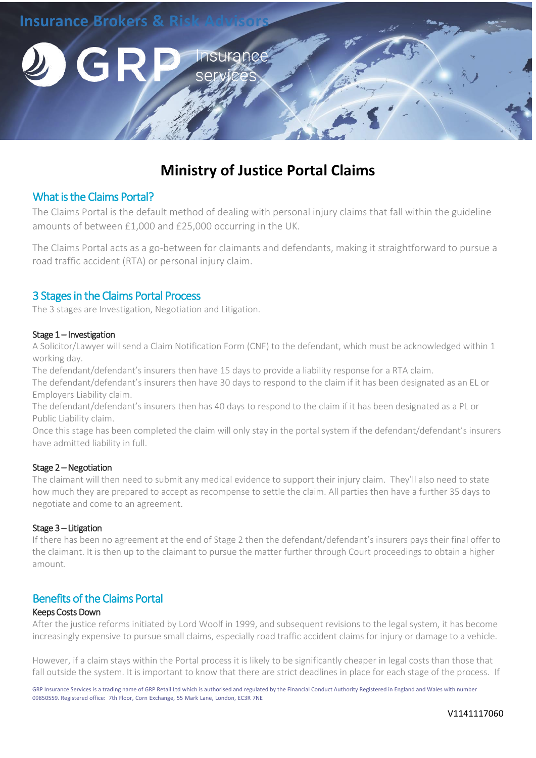

# **Ministry of Justice Portal Claims**

## What is the Claims Portal?

The Claims Portal is the default method of dealing wit[h personal injury claims](https://www.co-oplegalservices.co.uk/personal-injury-solicitors/) that fall within the guideline amounts of between £1,000 and £25,000 occurring in the UK.

The Claims Portal acts as a go-between for claimants and defendants, making it straightforward to pursue a road traffic accident (RTA) or personal injury claim.

## 3 Stages in the Claims Portal Process

The 3 stages are Investigation, Negotiation and Litigation.

#### Stage 1 – Investigation

A Solicitor/Lawyer will send a Claim Notification Form (CNF) to the defendant, which must be acknowledged within 1 working day.

The defendant/defendant's insurers then have 15 days to provide a liability response for a RTA claim.

The defendant/defendant's insurers then have 30 days to respond to the claim if it has been designated as an EL or Employers Liability claim.

The defendant/defendant's insurers then has 40 days to respond to the claim if it has been designated as a PL or Public Liability claim.

Once this stage has been completed the claim will only stay in the portal system if the defendant/defendant's insurers have admitted liability in full.

### Stage 2 – Negotiation

The claimant will then need to submit any medical evidence to support their injury claim. They'll also need to state how much they are prepared to accept as recompense to settle the claim. All parties then have a further 35 days to negotiate and come to an agreement.

#### Stage 3 – Litigation

If there has been no agreement at the end of Stage 2 then the defendant/defendant's insurers pays their final offer to the claimant. It is then up to the claimant to pursue the matter further through Court proceedings to obtain a higher amount.

## Benefits of the Claims Portal

#### Keeps Costs Down

After the justice reforms initiated by Lord Woolf in 1999, and subsequent revisions to the legal system, it has become increasingly expensive to pursue small claims, especially road traffic accident claims for injury or damage to a vehicle.

However, if a claim stays within the Portal process it is likely to be significantly cheaper in legal costs than those that fall outside the system. It is important to know that there are strict deadlines in place for each stage of the process. If

GRP Insurance Services is a trading name of GRP Retail Ltd which is authorised and regulated by the Financial Conduct Authority Registered in England and Wales with number 09850559. Registered office: 7th Floor, Corn Exchange, 55 Mark Lane, London, EC3R 7NE